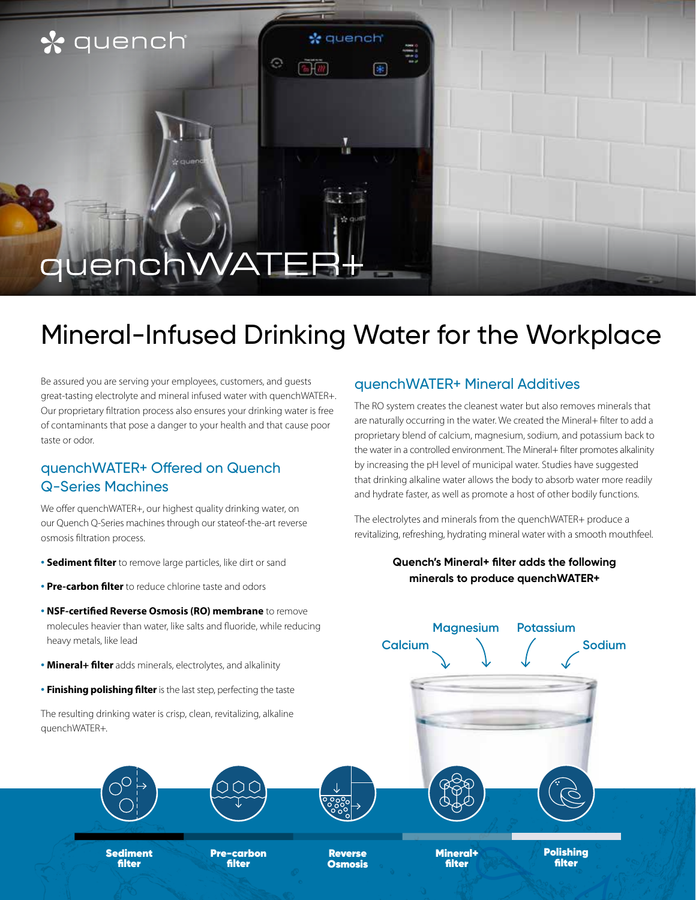### \* quench

# auer

## Mineral-Infused Drinking Water for the Workplace

**k** quench

⊮

Θ

Be assured you are serving your employees, customers, and guests great-tasting electrolyte and mineral infused water with quenchWATER+. Our proprietary filtration process also ensures your drinking water is free of contaminants that pose a danger to your health and that cause poor taste or odor.

#### quenchWATER+ Offered on Quench Q-Series Machines

We offer quenchWATER+, our highest quality drinking water, on our Quench Q-Series machines through our stateof-the-art reverse osmosis filtration process.

- **• Sediment filter** to remove large particles, like dirt or sand
- **• Pre-carbon filter** to reduce chlorine taste and odors
- **• NSF-certified Reverse Osmosis (RO) membrane** to remove molecules heavier than water, like salts and fluoride, while reducing heavy metals, like lead
- **• Mineral+ filter** adds minerals, electrolytes, and alkalinity
- **• Finishing polishing filter** is the last step, perfecting the taste

The resulting drinking water is crisp, clean, revitalizing, alkaline quenchWATER+.

> Sediment filter

#### quenchWATER+ Mineral Additives

The RO system creates the cleanest water but also removes minerals that are naturally occurring in the water. We created the Mineral+ filter to add a proprietary blend of calcium, magnesium, sodium, and potassium back to the water in a controlled environment. The Mineral+ filter promotes alkalinity by increasing the pH level of municipal water. Studies have suggested that drinking alkaline water allows the body to absorb water more readily and hydrate faster, as well as promote a host of other bodily functions.

The electrolytes and minerals from the quenchWATER+ produce a revitalizing, refreshing, hydrating mineral water with a smooth mouthfeel.

#### **Quench's Mineral+ filter adds the following minerals to produce quenchWATER+**